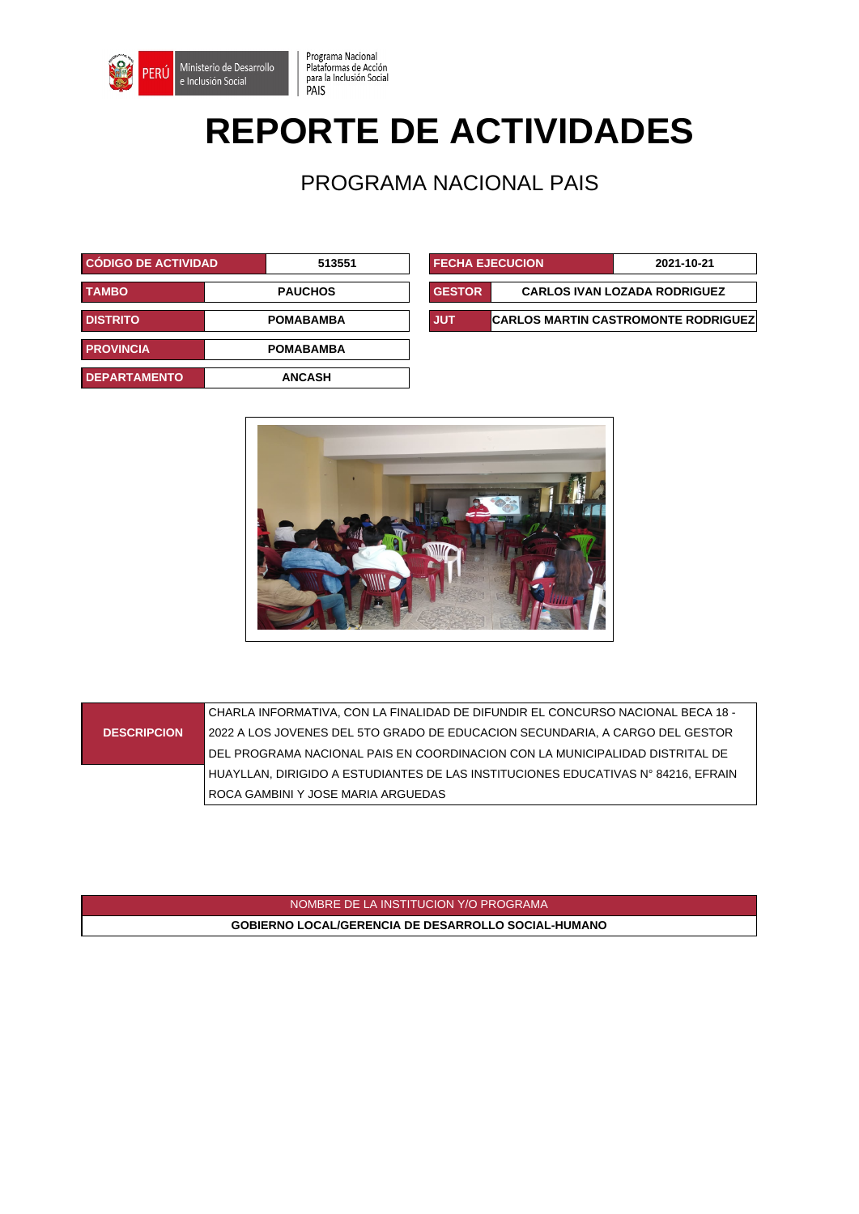

## **REPORTE DE ACTIVIDADES**

Programa Nacional

PAIS

Plataformas de Acción<br>para la Inclusión Social

PROGRAMA NACIONAL PAIS

| <b>CÓDIGO DE ACTIVIDAD</b> | 513551           | <b>FECHA EJECUCION</b> |                                        | 2021-10-21                          |
|----------------------------|------------------|------------------------|----------------------------------------|-------------------------------------|
| <b>TAMBO</b>               | <b>PAUCHOS</b>   | <b>GESTOR</b>          |                                        | <b>CARLOS IVAN LOZADA RODRIGUEZ</b> |
| <b>DISTRITO</b>            | <b>POMABAMBA</b> | <b>JUT</b>             | <b>CARLOS MARTIN CASTROMONTE RODRI</b> |                                     |
| <b>PROVINCIA</b>           | <b>POMABAMBA</b> |                        |                                        |                                     |
| <b>DEPARTAMENTO</b>        | <b>ANCASH</b>    |                        |                                        |                                     |

| <b>CODIGO DE ACTIVIDAD</b> |  | 513551           | <b>FECHA EJECUCION</b> |  | 2021-10-21                                 |
|----------------------------|--|------------------|------------------------|--|--------------------------------------------|
| <b>TAMBO</b>               |  | <b>PAUCHOS</b>   | <b>GESTOR</b>          |  | <b>CARLOS IVAN LOZADA RODRIGUEZ</b>        |
| <b>DISTRITO</b>            |  | <b>POMABAMBA</b> | <b>JUT</b>             |  | <b>CARLOS MARTIN CASTROMONTE RODRIGUEZ</b> |



**DESCRIPCION** CHARLA INFORMATIVA, CON LA FINALIDAD DE DIFUNDIR EL CONCURSO NACIONAL BECA 18 - 2022 A LOS JOVENES DEL 5TO GRADO DE EDUCACION SECUNDARIA, A CARGO DEL GESTOR DEL PROGRAMA NACIONAL PAIS EN COORDINACION CON LA MUNICIPALIDAD DISTRITAL DE HUAYLLAN, DIRIGIDO A ESTUDIANTES DE LAS INSTITUCIONES EDUCATIVAS N° 84216, EFRAIN ROCA GAMBINI Y JOSE MARIA ARGUEDAS

> NOMBRE DE LA INSTITUCION Y/O PROGRAMA **GOBIERNO LOCAL/GERENCIA DE DESARROLLO SOCIAL-HUMANO**